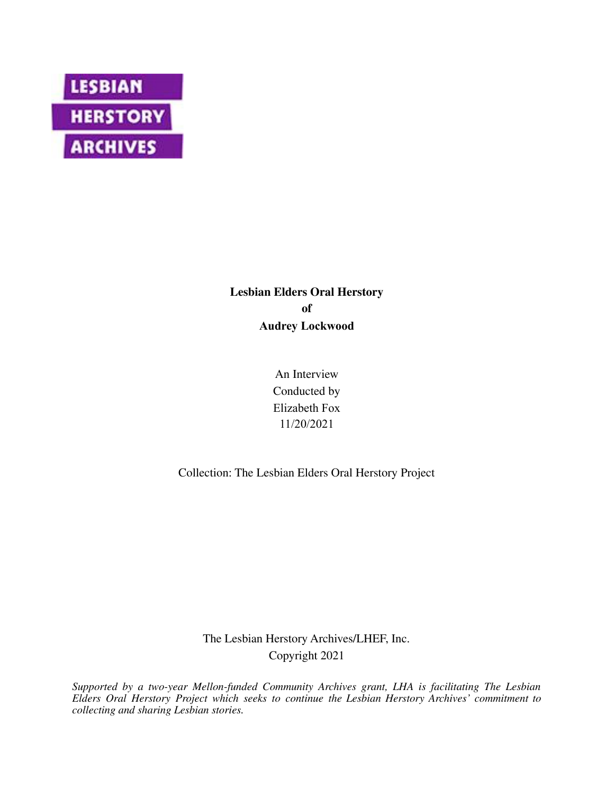

# **Lesbian Elders Oral Herstory of Audrey Lockwood**

An Interview Conducted by Elizabeth Fox 11/20/2021

Collection: The Lesbian Elders Oral Herstory Project

The Lesbian Herstory Archives/LHEF, Inc. Copyright 2021

*Supported by a two-year Mellon-funded Community Archives grant, LHA is facilitating The Lesbian Elders Oral Herstory Project which seeks to continue the Lesbian Herstory Archives' commitment to collecting and sharing Lesbian stories.*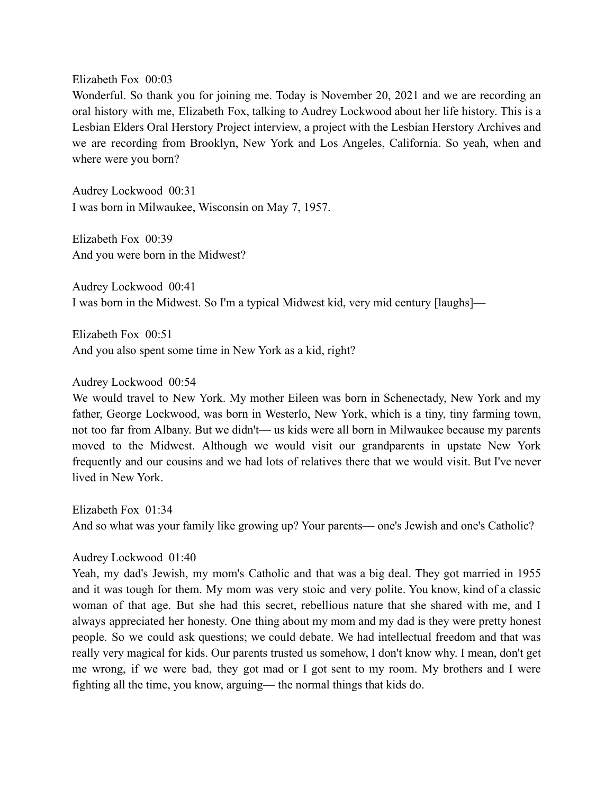Elizabeth Fox 00:03

Wonderful. So thank you for joining me. Today is November 20, 2021 and we are recording an oral history with me, Elizabeth Fox, talking to Audrey Lockwood about her life history. This is a Lesbian Elders Oral Herstory Project interview, a project with the Lesbian Herstory Archives and we are recording from Brooklyn, New York and Los Angeles, California. So yeah, when and where were you born?

Audrey Lockwood 00:31 I was born in Milwaukee, Wisconsin on May 7, 1957.

Elizabeth Fox 00:39 And you were born in the Midwest?

Audrey Lockwood 00:41 I was born in the Midwest. So I'm a typical Midwest kid, very mid century [laughs]—

Elizabeth Fox 00:51 And you also spent some time in New York as a kid, right?

Audrey Lockwood 00:54

We would travel to New York. My mother Eileen was born in Schenectady, New York and my father, George Lockwood, was born in Westerlo, New York, which is a tiny, tiny farming town, not too far from Albany. But we didn't— us kids were all born in Milwaukee because my parents moved to the Midwest. Although we would visit our grandparents in upstate New York frequently and our cousins and we had lots of relatives there that we would visit. But I've never lived in New York.

Elizabeth Fox 01:34 And so what was your family like growing up? Your parents— one's Jewish and one's Catholic?

Audrey Lockwood 01:40

Yeah, my dad's Jewish, my mom's Catholic and that was a big deal. They got married in 1955 and it was tough for them. My mom was very stoic and very polite. You know, kind of a classic woman of that age. But she had this secret, rebellious nature that she shared with me, and I always appreciated her honesty. One thing about my mom and my dad is they were pretty honest people. So we could ask questions; we could debate. We had intellectual freedom and that was really very magical for kids. Our parents trusted us somehow, I don't know why. I mean, don't get me wrong, if we were bad, they got mad or I got sent to my room. My brothers and I were fighting all the time, you know, arguing— the normal things that kids do.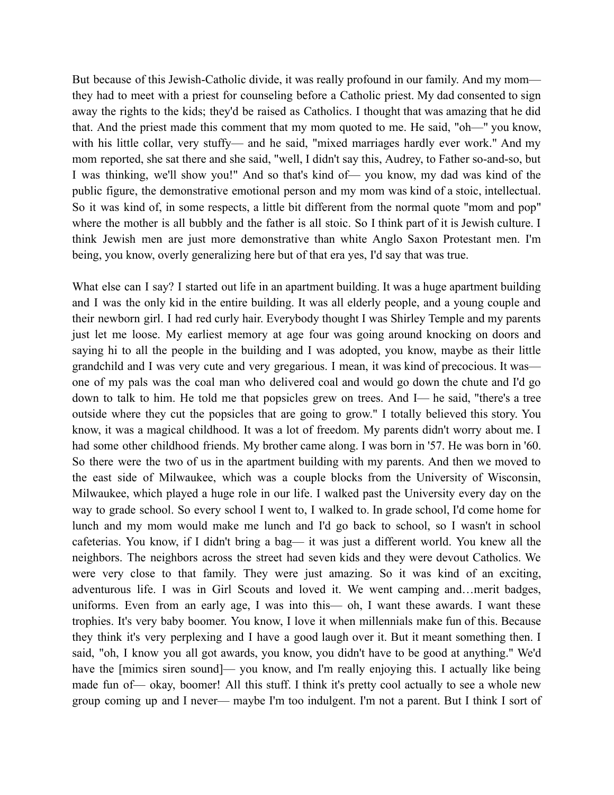But because of this Jewish-Catholic divide, it was really profound in our family. And my mom they had to meet with a priest for counseling before a Catholic priest. My dad consented to sign away the rights to the kids; they'd be raised as Catholics. I thought that was amazing that he did that. And the priest made this comment that my mom quoted to me. He said, "oh—" you know, with his little collar, very stuffy— and he said, "mixed marriages hardly ever work." And my mom reported, she sat there and she said, "well, I didn't say this, Audrey, to Father so-and-so, but I was thinking, we'll show you!" And so that's kind of— you know, my dad was kind of the public figure, the demonstrative emotional person and my mom was kind of a stoic, intellectual. So it was kind of, in some respects, a little bit different from the normal quote "mom and pop" where the mother is all bubbly and the father is all stoic. So I think part of it is Jewish culture. I think Jewish men are just more demonstrative than white Anglo Saxon Protestant men. I'm being, you know, overly generalizing here but of that era yes, I'd say that was true.

What else can I say? I started out life in an apartment building. It was a huge apartment building and I was the only kid in the entire building. It was all elderly people, and a young couple and their newborn girl. I had red curly hair. Everybody thought I was Shirley Temple and my parents just let me loose. My earliest memory at age four was going around knocking on doors and saying hi to all the people in the building and I was adopted, you know, maybe as their little grandchild and I was very cute and very gregarious. I mean, it was kind of precocious. It was one of my pals was the coal man who delivered coal and would go down the chute and I'd go down to talk to him. He told me that popsicles grew on trees. And I— he said, "there's a tree outside where they cut the popsicles that are going to grow." I totally believed this story. You know, it was a magical childhood. It was a lot of freedom. My parents didn't worry about me. I had some other childhood friends. My brother came along. I was born in '57. He was born in '60. So there were the two of us in the apartment building with my parents. And then we moved to the east side of Milwaukee, which was a couple blocks from the University of Wisconsin, Milwaukee, which played a huge role in our life. I walked past the University every day on the way to grade school. So every school I went to, I walked to. In grade school, I'd come home for lunch and my mom would make me lunch and I'd go back to school, so I wasn't in school cafeterias. You know, if I didn't bring a bag— it was just a different world. You knew all the neighbors. The neighbors across the street had seven kids and they were devout Catholics. We were very close to that family. They were just amazing. So it was kind of an exciting, adventurous life. I was in Girl Scouts and loved it. We went camping and…merit badges, uniforms. Even from an early age, I was into this— oh, I want these awards. I want these trophies. It's very baby boomer. You know, I love it when millennials make fun of this. Because they think it's very perplexing and I have a good laugh over it. But it meant something then. I said, "oh, I know you all got awards, you know, you didn't have to be good at anything." We'd have the [mimics siren sound]— you know, and I'm really enjoying this. I actually like being made fun of— okay, boomer! All this stuff. I think it's pretty cool actually to see a whole new group coming up and I never— maybe I'm too indulgent. I'm not a parent. But I think I sort of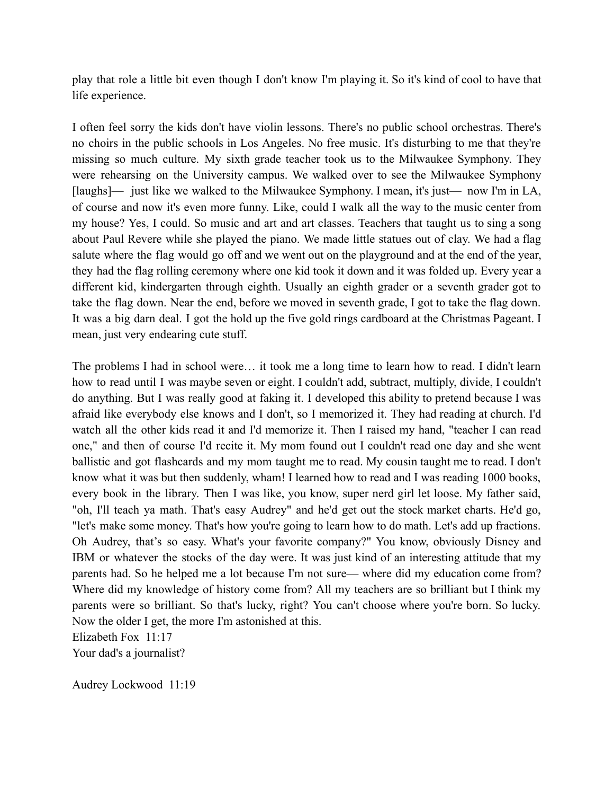play that role a little bit even though I don't know I'm playing it. So it's kind of cool to have that life experience.

I often feel sorry the kids don't have violin lessons. There's no public school orchestras. There's no choirs in the public schools in Los Angeles. No free music. It's disturbing to me that they're missing so much culture. My sixth grade teacher took us to the Milwaukee Symphony. They were rehearsing on the University campus. We walked over to see the Milwaukee Symphony [laughs]— just like we walked to the Milwaukee Symphony. I mean, it's just— now I'm in LA, of course and now it's even more funny. Like, could I walk all the way to the music center from my house? Yes, I could. So music and art and art classes. Teachers that taught us to sing a song about Paul Revere while she played the piano. We made little statues out of clay. We had a flag salute where the flag would go off and we went out on the playground and at the end of the year, they had the flag rolling ceremony where one kid took it down and it was folded up. Every year a different kid, kindergarten through eighth. Usually an eighth grader or a seventh grader got to take the flag down. Near the end, before we moved in seventh grade, I got to take the flag down. It was a big darn deal. I got the hold up the five gold rings cardboard at the Christmas Pageant. I mean, just very endearing cute stuff.

The problems I had in school were… it took me a long time to learn how to read. I didn't learn how to read until I was maybe seven or eight. I couldn't add, subtract, multiply, divide, I couldn't do anything. But I was really good at faking it. I developed this ability to pretend because I was afraid like everybody else knows and I don't, so I memorized it. They had reading at church. I'd watch all the other kids read it and I'd memorize it. Then I raised my hand, "teacher I can read one," and then of course I'd recite it. My mom found out I couldn't read one day and she went ballistic and got flashcards and my mom taught me to read. My cousin taught me to read. I don't know what it was but then suddenly, wham! I learned how to read and I was reading 1000 books, every book in the library. Then I was like, you know, super nerd girl let loose. My father said, "oh, I'll teach ya math. That's easy Audrey" and he'd get out the stock market charts. He'd go, "let's make some money. That's how you're going to learn how to do math. Let's add up fractions. Oh Audrey, that's so easy. What's your favorite company?" You know, obviously Disney and IBM or whatever the stocks of the day were. It was just kind of an interesting attitude that my parents had. So he helped me a lot because I'm not sure— where did my education come from? Where did my knowledge of history come from? All my teachers are so brilliant but I think my parents were so brilliant. So that's lucky, right? You can't choose where you're born. So lucky. Now the older I get, the more I'm astonished at this.

Elizabeth Fox 11:17

Your dad's a journalist?

Audrey Lockwood 11:19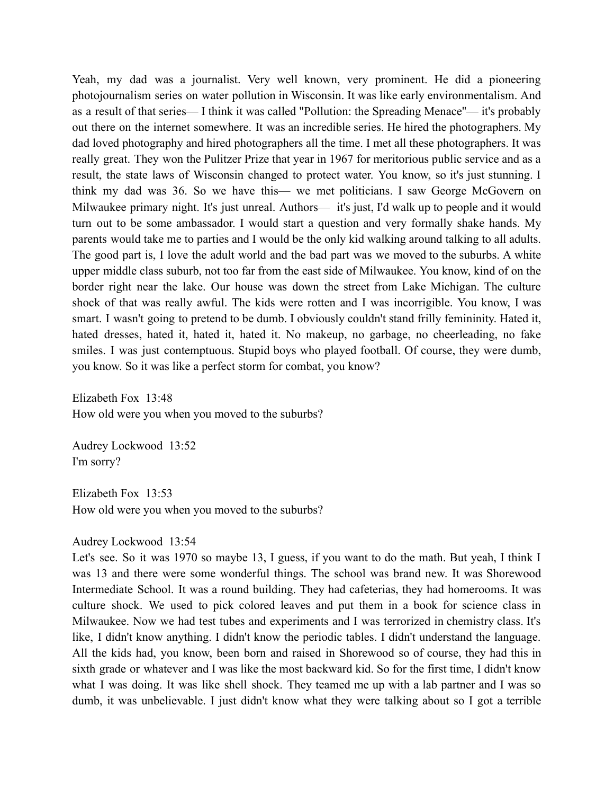Yeah, my dad was a journalist. Very well known, very prominent. He did a pioneering photojournalism series on water pollution in Wisconsin. It was like early environmentalism. And as a result of that series— I think it was called "Pollution: the Spreading Menace''— it's probably out there on the internet somewhere. It was an incredible series. He hired the photographers. My dad loved photography and hired photographers all the time. I met all these photographers. It was really great. They won the Pulitzer Prize that year in 1967 for meritorious public service and as a result, the state laws of Wisconsin changed to protect water. You know, so it's just stunning. I think my dad was 36. So we have this— we met politicians. I saw George McGovern on Milwaukee primary night. It's just unreal. Authors— it's just, I'd walk up to people and it would turn out to be some ambassador. I would start a question and very formally shake hands. My parents would take me to parties and I would be the only kid walking around talking to all adults. The good part is, I love the adult world and the bad part was we moved to the suburbs. A white upper middle class suburb, not too far from the east side of Milwaukee. You know, kind of on the border right near the lake. Our house was down the street from Lake Michigan. The culture shock of that was really awful. The kids were rotten and I was incorrigible. You know, I was smart. I wasn't going to pretend to be dumb. I obviously couldn't stand frilly femininity. Hated it, hated dresses, hated it, hated it, hated it. No makeup, no garbage, no cheerleading, no fake smiles. I was just contemptuous. Stupid boys who played football. Of course, they were dumb, you know. So it was like a perfect storm for combat, you know?

Elizabeth Fox 13:48 How old were you when you moved to the suburbs?

Audrey Lockwood 13:52 I'm sorry?

Elizabeth Fox 13:53 How old were you when you moved to the suburbs?

#### Audrey Lockwood 13:54

Let's see. So it was 1970 so maybe 13, I guess, if you want to do the math. But yeah, I think I was 13 and there were some wonderful things. The school was brand new. It was Shorewood Intermediate School. It was a round building. They had cafeterias, they had homerooms. It was culture shock. We used to pick colored leaves and put them in a book for science class in Milwaukee. Now we had test tubes and experiments and I was terrorized in chemistry class. It's like, I didn't know anything. I didn't know the periodic tables. I didn't understand the language. All the kids had, you know, been born and raised in Shorewood so of course, they had this in sixth grade or whatever and I was like the most backward kid. So for the first time, I didn't know what I was doing. It was like shell shock. They teamed me up with a lab partner and I was so dumb, it was unbelievable. I just didn't know what they were talking about so I got a terrible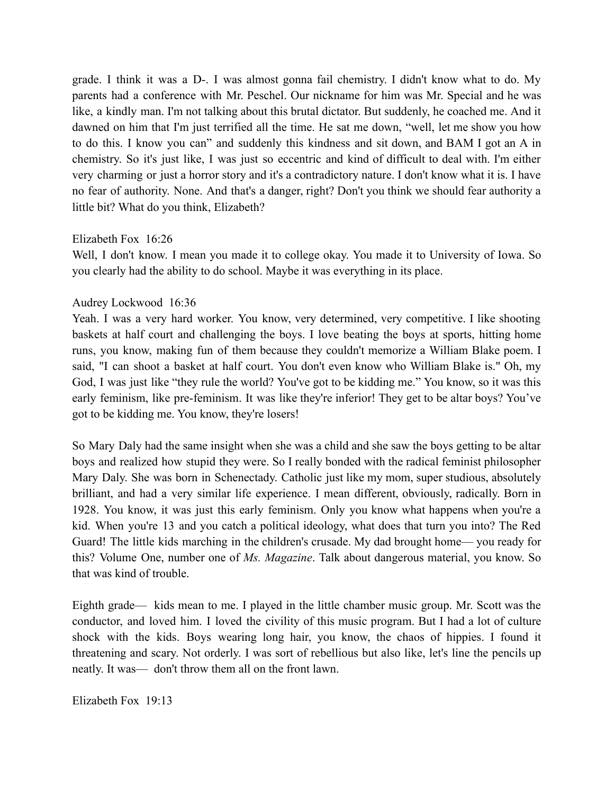grade. I think it was a D-. I was almost gonna fail chemistry. I didn't know what to do. My parents had a conference with Mr. Peschel. Our nickname for him was Mr. Special and he was like, a kindly man. I'm not talking about this brutal dictator. But suddenly, he coached me. And it dawned on him that I'm just terrified all the time. He sat me down, "well, let me show you how to do this. I know you can" and suddenly this kindness and sit down, and BAM I got an A in chemistry. So it's just like, I was just so eccentric and kind of difficult to deal with. I'm either very charming or just a horror story and it's a contradictory nature. I don't know what it is. I have no fear of authority. None. And that's a danger, right? Don't you think we should fear authority a little bit? What do you think, Elizabeth?

## Elizabeth Fox 16:26

Well, I don't know. I mean you made it to college okay. You made it to University of Iowa. So you clearly had the ability to do school. Maybe it was everything in its place.

# Audrey Lockwood 16:36

Yeah. I was a very hard worker. You know, very determined, very competitive. I like shooting baskets at half court and challenging the boys. I love beating the boys at sports, hitting home runs, you know, making fun of them because they couldn't memorize a William Blake poem. I said, "I can shoot a basket at half court. You don't even know who William Blake is." Oh, my God, I was just like "they rule the world? You've got to be kidding me." You know, so it was this early feminism, like pre-feminism. It was like they're inferior! They get to be altar boys? You've got to be kidding me. You know, they're losers!

So Mary Daly had the same insight when she was a child and she saw the boys getting to be altar boys and realized how stupid they were. So I really bonded with the radical feminist philosopher Mary Daly. She was born in Schenectady. Catholic just like my mom, super studious, absolutely brilliant, and had a very similar life experience. I mean different, obviously, radically. Born in 1928. You know, it was just this early feminism. Only you know what happens when you're a kid. When you're 13 and you catch a political ideology, what does that turn you into? The Red Guard! The little kids marching in the children's crusade. My dad brought home— you ready for this? Volume One, number one of *Ms. Magazine*. Talk about dangerous material, you know. So that was kind of trouble.

Eighth grade— kids mean to me. I played in the little chamber music group. Mr. Scott was the conductor, and loved him. I loved the civility of this music program. But I had a lot of culture shock with the kids. Boys wearing long hair, you know, the chaos of hippies. I found it threatening and scary. Not orderly. I was sort of rebellious but also like, let's line the pencils up neatly. It was— don't throw them all on the front lawn.

Elizabeth Fox 19:13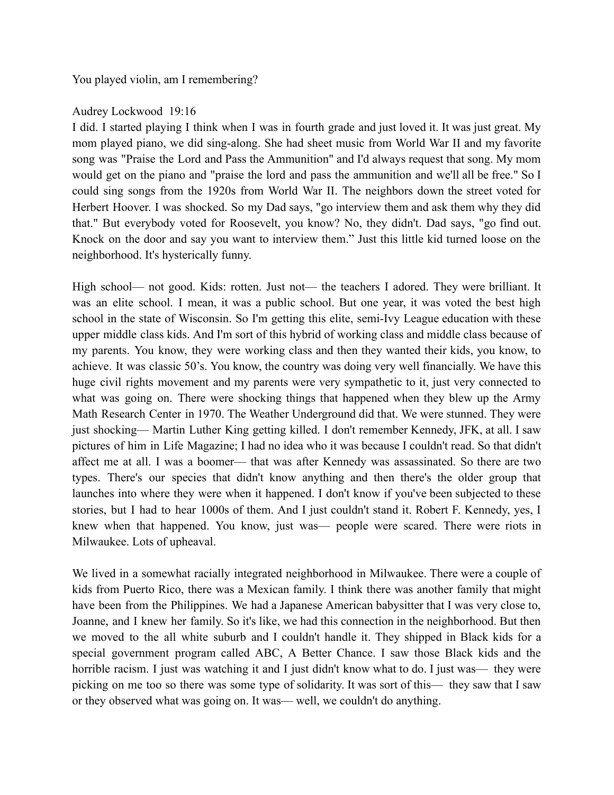You played violin, am I remembering?

# Audrey Lockwood 19:16

I did. I started playing I think when I was in fourth grade and just loved it. It was just great. My mom played piano, we did sing-along. She had sheet music from World War II and my favorite song was "Praise the Lord and Pass the Ammunition" and I'd always request that song. My mom would get on the piano and "praise the lord and pass the ammunition and we'll all be free." So I could sing songs from the 1920s from World War II. The neighbors down the street voted for Herbert Hoover. I was shocked. So my Dad says, "go interview them and ask them why they did that." But everybody voted for Roosevelt, you know? No, they didn't. Dad says, "go find out. Knock on the door and say you want to interview them." Just this little kid turned loose on the neighborhood. It's hysterically funny.

High school— not good. Kids: rotten. Just not— the teachers I adored. They were brilliant. It was an elite school. I mean, it was a public school. But one year, it was voted the best high school in the state of Wisconsin. So I'm getting this elite, semi-Ivy League education with these upper middle class kids. And I'm sort of this hybrid of working class and middle class because of my parents. You know, they were working class and then they wanted their kids, you know, to achieve. It was classic 50's. You know, the country was doing very well financially. We have this huge civil rights movement and my parents were very sympathetic to it, just very connected to what was going on. There were shocking things that happened when they blew up the Army Math Research Center in 1970. The Weather Underground did that. We were stunned. They were just shocking— Martin Luther King getting killed. I don't remember Kennedy, JFK, at all. I saw pictures of him in Life Magazine; I had no idea who it was because I couldn't read. So that didn't affect me at all. I was a boomer— that was after Kennedy was assassinated. So there are two types. There's our species that didn't know anything and then there's the older group that launches into where they were when it happened. I don't know if you've been subjected to these stories, but I had to hear 1000s of them. And I just couldn't stand it. Robert F. Kennedy, yes, I knew when that happened. You know, just was— people were scared. There were riots in Milwaukee. Lots of upheaval.

We lived in a somewhat racially integrated neighborhood in Milwaukee. There were a couple of kids from Puerto Rico, there was a Mexican family. I think there was another family that might have been from the Philippines. We had a Japanese American babysitter that I was very close to, Joanne, and I knew her family. So it's like, we had this connection in the neighborhood. But then we moved to the all white suburb and I couldn't handle it. They shipped in Black kids for a special government program called ABC, A Better Chance. I saw those Black kids and the horrible racism. I just was watching it and I just didn't know what to do. I just was— they were picking on me too so there was some type of solidarity. It was sort of this— they saw that I saw or they observed what was going on. It was— well, we couldn't do anything.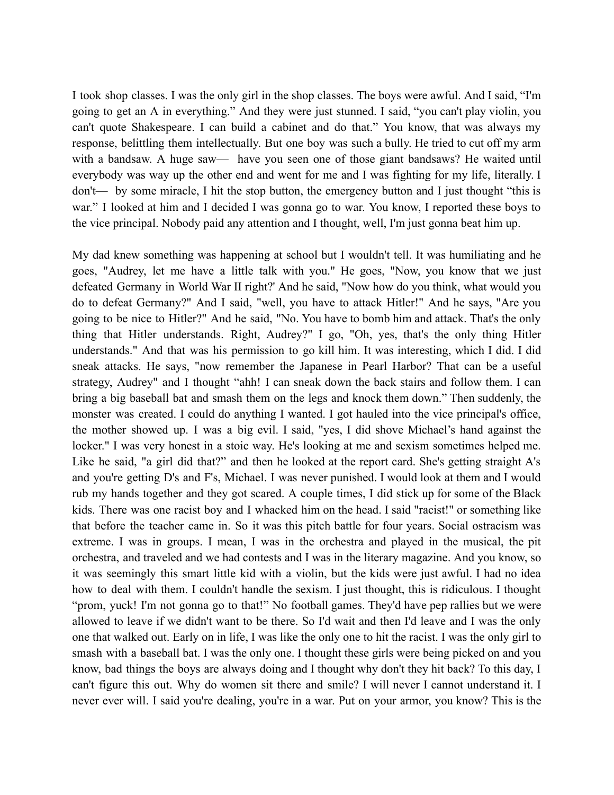I took shop classes. I was the only girl in the shop classes. The boys were awful. And I said, "I'm going to get an A in everything." And they were just stunned. I said, "you can't play violin, you can't quote Shakespeare. I can build a cabinet and do that." You know, that was always my response, belittling them intellectually. But one boy was such a bully. He tried to cut off my arm with a bandsaw. A huge saw— have you seen one of those giant bandsaws? He waited until everybody was way up the other end and went for me and I was fighting for my life, literally. I don't— by some miracle, I hit the stop button, the emergency button and I just thought "this is war." I looked at him and I decided I was gonna go to war. You know, I reported these boys to the vice principal. Nobody paid any attention and I thought, well, I'm just gonna beat him up.

My dad knew something was happening at school but I wouldn't tell. It was humiliating and he goes, "Audrey, let me have a little talk with you." He goes, "Now, you know that we just defeated Germany in World War II right?' And he said, "Now how do you think, what would you do to defeat Germany?" And I said, "well, you have to attack Hitler!" And he says, "Are you going to be nice to Hitler?" And he said, "No. You have to bomb him and attack. That's the only thing that Hitler understands. Right, Audrey?" I go, "Oh, yes, that's the only thing Hitler understands." And that was his permission to go kill him. It was interesting, which I did. I did sneak attacks. He says, "now remember the Japanese in Pearl Harbor? That can be a useful strategy, Audrey" and I thought "ahh! I can sneak down the back stairs and follow them. I can bring a big baseball bat and smash them on the legs and knock them down." Then suddenly, the monster was created. I could do anything I wanted. I got hauled into the vice principal's office, the mother showed up. I was a big evil. I said, "yes, I did shove Michael's hand against the locker." I was very honest in a stoic way. He's looking at me and sexism sometimes helped me. Like he said, "a girl did that?" and then he looked at the report card. She's getting straight A's and you're getting D's and F's, Michael. I was never punished. I would look at them and I would rub my hands together and they got scared. A couple times, I did stick up for some of the Black kids. There was one racist boy and I whacked him on the head. I said "racist!" or something like that before the teacher came in. So it was this pitch battle for four years. Social ostracism was extreme. I was in groups. I mean, I was in the orchestra and played in the musical, the pit orchestra, and traveled and we had contests and I was in the literary magazine. And you know, so it was seemingly this smart little kid with a violin, but the kids were just awful. I had no idea how to deal with them. I couldn't handle the sexism. I just thought, this is ridiculous. I thought "prom, yuck! I'm not gonna go to that!" No football games. They'd have pep rallies but we were allowed to leave if we didn't want to be there. So I'd wait and then I'd leave and I was the only one that walked out. Early on in life, I was like the only one to hit the racist. I was the only girl to smash with a baseball bat. I was the only one. I thought these girls were being picked on and you know, bad things the boys are always doing and I thought why don't they hit back? To this day, I can't figure this out. Why do women sit there and smile? I will never I cannot understand it. I never ever will. I said you're dealing, you're in a war. Put on your armor, you know? This is the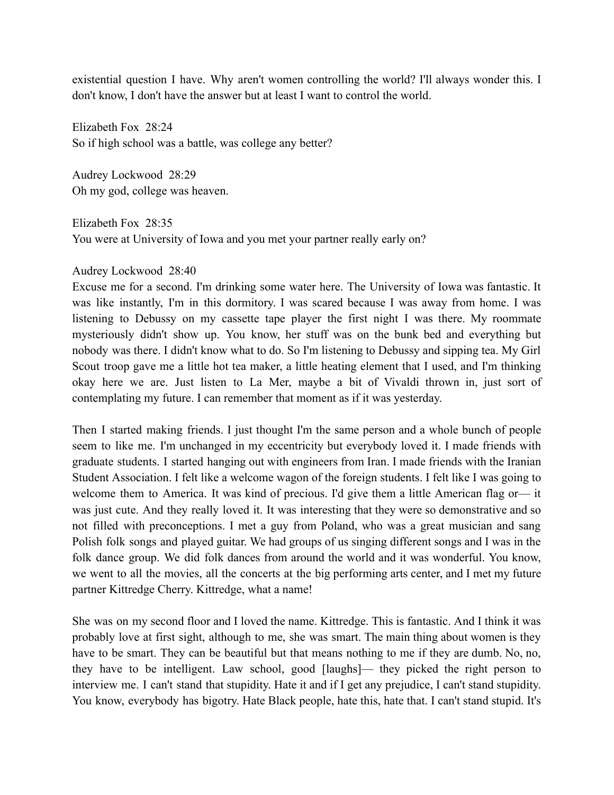existential question I have. Why aren't women controlling the world? I'll always wonder this. I don't know, I don't have the answer but at least I want to control the world.

Elizabeth Fox 28:24 So if high school was a battle, was college any better?

Audrey Lockwood 28:29 Oh my god, college was heaven.

Elizabeth Fox 28:35 You were at University of Iowa and you met your partner really early on?

# Audrey Lockwood 28:40

Excuse me for a second. I'm drinking some water here. The University of Iowa was fantastic. It was like instantly, I'm in this dormitory. I was scared because I was away from home. I was listening to Debussy on my cassette tape player the first night I was there. My roommate mysteriously didn't show up. You know, her stuff was on the bunk bed and everything but nobody was there. I didn't know what to do. So I'm listening to Debussy and sipping tea. My Girl Scout troop gave me a little hot tea maker, a little heating element that I used, and I'm thinking okay here we are. Just listen to La Mer, maybe a bit of Vivaldi thrown in, just sort of contemplating my future. I can remember that moment as if it was yesterday.

Then I started making friends. I just thought I'm the same person and a whole bunch of people seem to like me. I'm unchanged in my eccentricity but everybody loved it. I made friends with graduate students. I started hanging out with engineers from Iran. I made friends with the Iranian Student Association. I felt like a welcome wagon of the foreign students. I felt like I was going to welcome them to America. It was kind of precious. I'd give them a little American flag or— it was just cute. And they really loved it. It was interesting that they were so demonstrative and so not filled with preconceptions. I met a guy from Poland, who was a great musician and sang Polish folk songs and played guitar. We had groups of us singing different songs and I was in the folk dance group. We did folk dances from around the world and it was wonderful. You know, we went to all the movies, all the concerts at the big performing arts center, and I met my future partner Kittredge Cherry. Kittredge, what a name!

She was on my second floor and I loved the name. Kittredge. This is fantastic. And I think it was probably love at first sight, although to me, she was smart. The main thing about women is they have to be smart. They can be beautiful but that means nothing to me if they are dumb. No, no, they have to be intelligent. Law school, good [laughs]— they picked the right person to interview me. I can't stand that stupidity. Hate it and if I get any prejudice, I can't stand stupidity. You know, everybody has bigotry. Hate Black people, hate this, hate that. I can't stand stupid. It's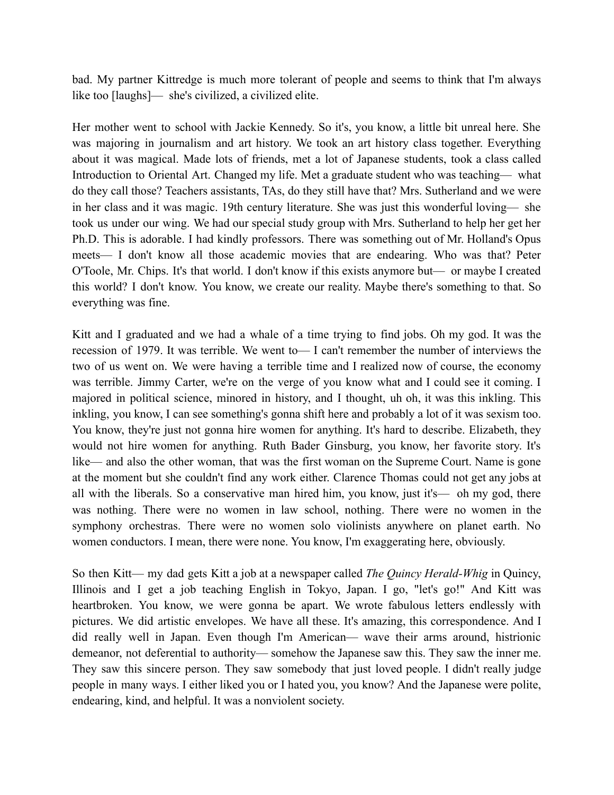bad. My partner Kittredge is much more tolerant of people and seems to think that I'm always like too [laughs]— she's civilized, a civilized elite.

Her mother went to school with Jackie Kennedy. So it's, you know, a little bit unreal here. She was majoring in journalism and art history. We took an art history class together. Everything about it was magical. Made lots of friends, met a lot of Japanese students, took a class called Introduction to Oriental Art. Changed my life. Met a graduate student who was teaching— what do they call those? Teachers assistants, TAs, do they still have that? Mrs. Sutherland and we were in her class and it was magic. 19th century literature. She was just this wonderful loving— she took us under our wing. We had our special study group with Mrs. Sutherland to help her get her Ph.D. This is adorable. I had kindly professors. There was something out of Mr. Holland's Opus meets— I don't know all those academic movies that are endearing. Who was that? Peter O'Toole, Mr. Chips. It's that world. I don't know if this exists anymore but— or maybe I created this world? I don't know. You know, we create our reality. Maybe there's something to that. So everything was fine.

Kitt and I graduated and we had a whale of a time trying to find jobs. Oh my god. It was the recession of 1979. It was terrible. We went to— I can't remember the number of interviews the two of us went on. We were having a terrible time and I realized now of course, the economy was terrible. Jimmy Carter, we're on the verge of you know what and I could see it coming. I majored in political science, minored in history, and I thought, uh oh, it was this inkling. This inkling, you know, I can see something's gonna shift here and probably a lot of it was sexism too. You know, they're just not gonna hire women for anything. It's hard to describe. Elizabeth, they would not hire women for anything. Ruth Bader Ginsburg, you know, her favorite story. It's like— and also the other woman, that was the first woman on the Supreme Court. Name is gone at the moment but she couldn't find any work either. Clarence Thomas could not get any jobs at all with the liberals. So a conservative man hired him, you know, just it's— oh my god, there was nothing. There were no women in law school, nothing. There were no women in the symphony orchestras. There were no women solo violinists anywhere on planet earth. No women conductors. I mean, there were none. You know, I'm exaggerating here, obviously.

So then Kitt— my dad gets Kitt a job at a newspaper called *The Quincy Herald-Whig* in Quincy, Illinois and I get a job teaching English in Tokyo, Japan. I go, "let's go!" And Kitt was heartbroken. You know, we were gonna be apart. We wrote fabulous letters endlessly with pictures. We did artistic envelopes. We have all these. It's amazing, this correspondence. And I did really well in Japan. Even though I'm American— wave their arms around, histrionic demeanor, not deferential to authority— somehow the Japanese saw this. They saw the inner me. They saw this sincere person. They saw somebody that just loved people. I didn't really judge people in many ways. I either liked you or I hated you, you know? And the Japanese were polite, endearing, kind, and helpful. It was a nonviolent society.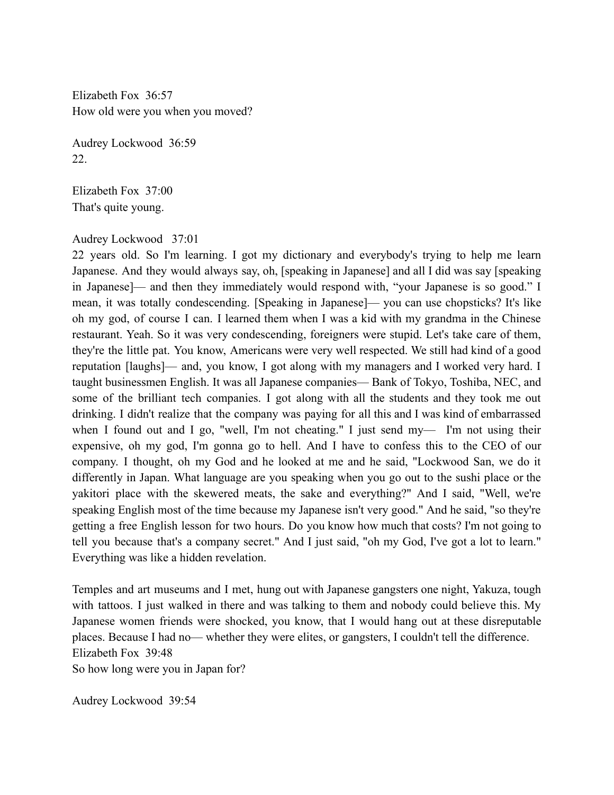Elizabeth Fox 36:57 How old were you when you moved?

Audrey Lockwood 36:59 22.

Elizabeth Fox 37:00 That's quite young.

## Audrey Lockwood 37:01

22 years old. So I'm learning. I got my dictionary and everybody's trying to help me learn Japanese. And they would always say, oh, [speaking in Japanese] and all I did was say [speaking in Japanese]— and then they immediately would respond with, "your Japanese is so good." I mean, it was totally condescending. [Speaking in Japanese]— you can use chopsticks? It's like oh my god, of course I can. I learned them when I was a kid with my grandma in the Chinese restaurant. Yeah. So it was very condescending, foreigners were stupid. Let's take care of them, they're the little pat. You know, Americans were very well respected. We still had kind of a good reputation [laughs]— and, you know, I got along with my managers and I worked very hard. I taught businessmen English. It was all Japanese companies— Bank of Tokyo, Toshiba, NEC, and some of the brilliant tech companies. I got along with all the students and they took me out drinking. I didn't realize that the company was paying for all this and I was kind of embarrassed when I found out and I go, "well, I'm not cheating." I just send my— I'm not using their expensive, oh my god, I'm gonna go to hell. And I have to confess this to the CEO of our company. I thought, oh my God and he looked at me and he said, "Lockwood San, we do it differently in Japan. What language are you speaking when you go out to the sushi place or the yakitori place with the skewered meats, the sake and everything?" And I said, "Well, we're speaking English most of the time because my Japanese isn't very good." And he said, "so they're getting a free English lesson for two hours. Do you know how much that costs? I'm not going to tell you because that's a company secret." And I just said, "oh my God, I've got a lot to learn." Everything was like a hidden revelation.

Temples and art museums and I met, hung out with Japanese gangsters one night, Yakuza, tough with tattoos. I just walked in there and was talking to them and nobody could believe this. My Japanese women friends were shocked, you know, that I would hang out at these disreputable places. Because I had no— whether they were elites, or gangsters, I couldn't tell the difference. Elizabeth Fox 39:48 So how long were you in Japan for?

Audrey Lockwood 39:54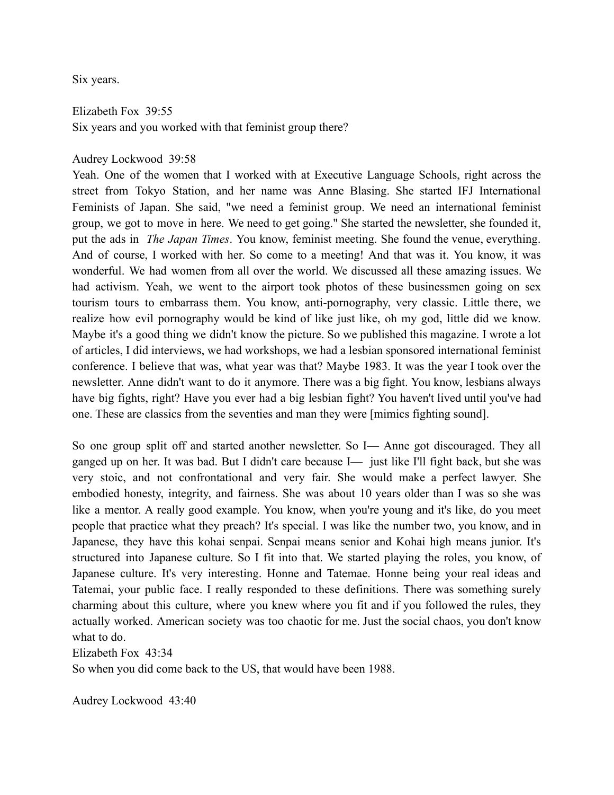Six years.

Elizabeth Fox 39:55 Six years and you worked with that feminist group there?

## Audrey Lockwood 39:58

Yeah. One of the women that I worked with at Executive Language Schools, right across the street from Tokyo Station, and her name was Anne Blasing. She started IFJ International Feminists of Japan. She said, "we need a feminist group. We need an international feminist group, we got to move in here. We need to get going." She started the newsletter, she founded it, put the ads in *The Japan Times*. You know, feminist meeting. She found the venue, everything. And of course, I worked with her. So come to a meeting! And that was it. You know, it was wonderful. We had women from all over the world. We discussed all these amazing issues. We had activism. Yeah, we went to the airport took photos of these businessmen going on sex tourism tours to embarrass them. You know, anti-pornography, very classic. Little there, we realize how evil pornography would be kind of like just like, oh my god, little did we know. Maybe it's a good thing we didn't know the picture. So we published this magazine. I wrote a lot of articles, I did interviews, we had workshops, we had a lesbian sponsored international feminist conference. I believe that was, what year was that? Maybe 1983. It was the year I took over the newsletter. Anne didn't want to do it anymore. There was a big fight. You know, lesbians always have big fights, right? Have you ever had a big lesbian fight? You haven't lived until you've had one. These are classics from the seventies and man they were [mimics fighting sound].

So one group split off and started another newsletter. So I— Anne got discouraged. They all ganged up on her. It was bad. But I didn't care because I— just like I'll fight back, but she was very stoic, and not confrontational and very fair. She would make a perfect lawyer. She embodied honesty, integrity, and fairness. She was about 10 years older than I was so she was like a mentor. A really good example. You know, when you're young and it's like, do you meet people that practice what they preach? It's special. I was like the number two, you know, and in Japanese, they have this kohai senpai. Senpai means senior and Kohai high means junior. It's structured into Japanese culture. So I fit into that. We started playing the roles, you know, of Japanese culture. It's very interesting. Honne and Tatemae. Honne being your real ideas and Tatemai, your public face. I really responded to these definitions. There was something surely charming about this culture, where you knew where you fit and if you followed the rules, they actually worked. American society was too chaotic for me. Just the social chaos, you don't know what to do.

Elizabeth Fox 43:34

So when you did come back to the US, that would have been 1988.

Audrey Lockwood 43:40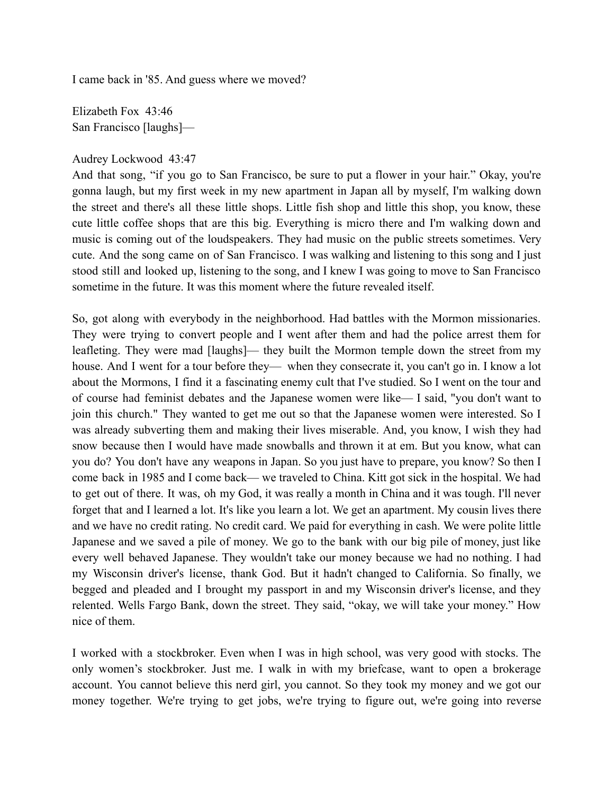I came back in '85. And guess where we moved?

Elizabeth Fox 43:46 San Francisco [laughs]—

## Audrey Lockwood 43:47

And that song, "if you go to San Francisco, be sure to put a flower in your hair." Okay, you're gonna laugh, but my first week in my new apartment in Japan all by myself, I'm walking down the street and there's all these little shops. Little fish shop and little this shop, you know, these cute little coffee shops that are this big. Everything is micro there and I'm walking down and music is coming out of the loudspeakers. They had music on the public streets sometimes. Very cute. And the song came on of San Francisco. I was walking and listening to this song and I just stood still and looked up, listening to the song, and I knew I was going to move to San Francisco sometime in the future. It was this moment where the future revealed itself.

So, got along with everybody in the neighborhood. Had battles with the Mormon missionaries. They were trying to convert people and I went after them and had the police arrest them for leafleting. They were mad [laughs]— they built the Mormon temple down the street from my house. And I went for a tour before they— when they consecrate it, you can't go in. I know a lot about the Mormons, I find it a fascinating enemy cult that I've studied. So I went on the tour and of course had feminist debates and the Japanese women were like— I said, "you don't want to join this church." They wanted to get me out so that the Japanese women were interested. So I was already subverting them and making their lives miserable. And, you know, I wish they had snow because then I would have made snowballs and thrown it at em. But you know, what can you do? You don't have any weapons in Japan. So you just have to prepare, you know? So then I come back in 1985 and I come back— we traveled to China. Kitt got sick in the hospital. We had to get out of there. It was, oh my God, it was really a month in China and it was tough. I'll never forget that and I learned a lot. It's like you learn a lot. We get an apartment. My cousin lives there and we have no credit rating. No credit card. We paid for everything in cash. We were polite little Japanese and we saved a pile of money. We go to the bank with our big pile of money, just like every well behaved Japanese. They wouldn't take our money because we had no nothing. I had my Wisconsin driver's license, thank God. But it hadn't changed to California. So finally, we begged and pleaded and I brought my passport in and my Wisconsin driver's license, and they relented. Wells Fargo Bank, down the street. They said, "okay, we will take your money." How nice of them.

I worked with a stockbroker. Even when I was in high school, was very good with stocks. The only women's stockbroker. Just me. I walk in with my briefcase, want to open a brokerage account. You cannot believe this nerd girl, you cannot. So they took my money and we got our money together. We're trying to get jobs, we're trying to figure out, we're going into reverse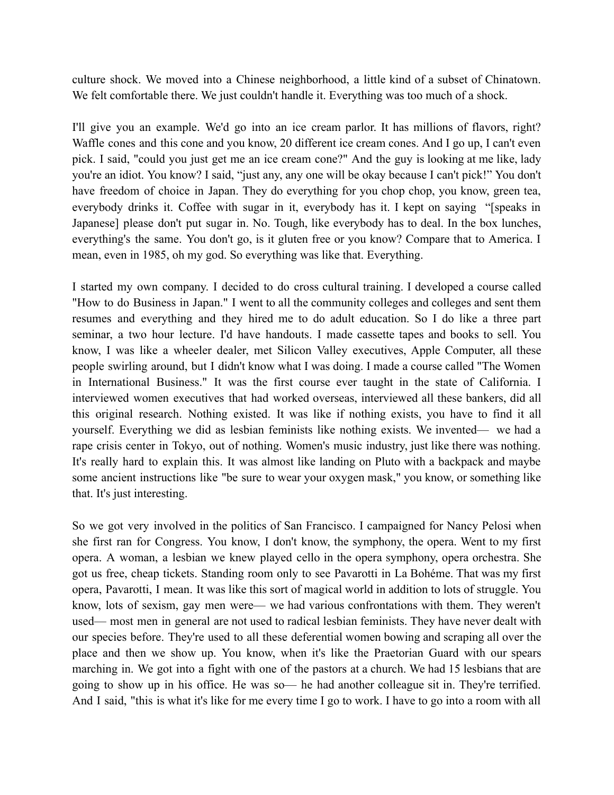culture shock. We moved into a Chinese neighborhood, a little kind of a subset of Chinatown. We felt comfortable there. We just couldn't handle it. Everything was too much of a shock.

I'll give you an example. We'd go into an ice cream parlor. It has millions of flavors, right? Waffle cones and this cone and you know, 20 different ice cream cones. And I go up, I can't even pick. I said, "could you just get me an ice cream cone?" And the guy is looking at me like, lady you're an idiot. You know? I said, "just any, any one will be okay because I can't pick!" You don't have freedom of choice in Japan. They do everything for you chop chop, you know, green tea, everybody drinks it. Coffee with sugar in it, everybody has it. I kept on saying "[speaks in Japanese] please don't put sugar in. No. Tough, like everybody has to deal. In the box lunches, everything's the same. You don't go, is it gluten free or you know? Compare that to America. I mean, even in 1985, oh my god. So everything was like that. Everything.

I started my own company. I decided to do cross cultural training. I developed a course called "How to do Business in Japan." I went to all the community colleges and colleges and sent them resumes and everything and they hired me to do adult education. So I do like a three part seminar, a two hour lecture. I'd have handouts. I made cassette tapes and books to sell. You know, I was like a wheeler dealer, met Silicon Valley executives, Apple Computer, all these people swirling around, but I didn't know what I was doing. I made a course called "The Women in International Business." It was the first course ever taught in the state of California. I interviewed women executives that had worked overseas, interviewed all these bankers, did all this original research. Nothing existed. It was like if nothing exists, you have to find it all yourself. Everything we did as lesbian feminists like nothing exists. We invented— we had a rape crisis center in Tokyo, out of nothing. Women's music industry, just like there was nothing. It's really hard to explain this. It was almost like landing on Pluto with a backpack and maybe some ancient instructions like "be sure to wear your oxygen mask," you know, or something like that. It's just interesting.

So we got very involved in the politics of San Francisco. I campaigned for Nancy Pelosi when she first ran for Congress. You know, I don't know, the symphony, the opera. Went to my first opera. A woman, a lesbian we knew played cello in the opera symphony, opera orchestra. She got us free, cheap tickets. Standing room only to see Pavarotti in La Bohéme. That was my first opera, Pavarotti, I mean. It was like this sort of magical world in addition to lots of struggle. You know, lots of sexism, gay men were— we had various confrontations with them. They weren't used— most men in general are not used to radical lesbian feminists. They have never dealt with our species before. They're used to all these deferential women bowing and scraping all over the place and then we show up. You know, when it's like the Praetorian Guard with our spears marching in. We got into a fight with one of the pastors at a church. We had 15 lesbians that are going to show up in his office. He was so— he had another colleague sit in. They're terrified. And I said, "this is what it's like for me every time I go to work. I have to go into a room with all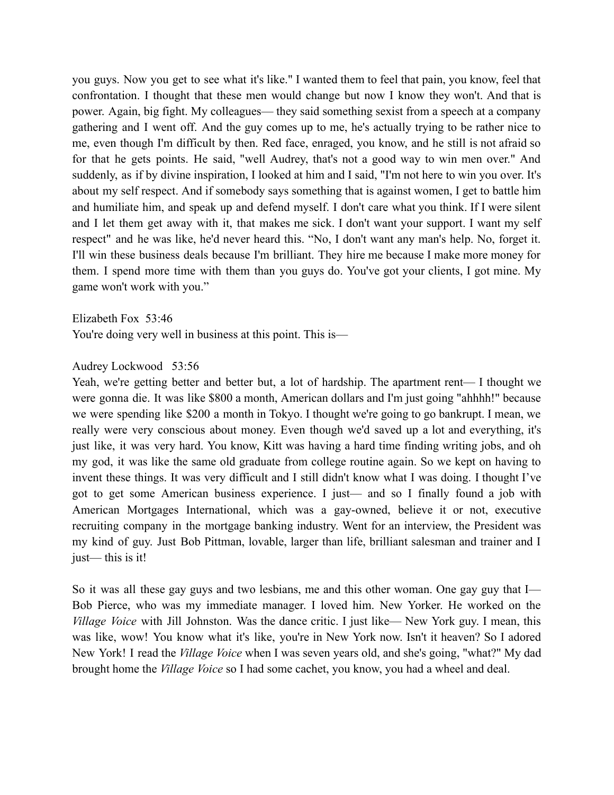you guys. Now you get to see what it's like." I wanted them to feel that pain, you know, feel that confrontation. I thought that these men would change but now I know they won't. And that is power. Again, big fight. My colleagues— they said something sexist from a speech at a company gathering and I went off. And the guy comes up to me, he's actually trying to be rather nice to me, even though I'm difficult by then. Red face, enraged, you know, and he still is not afraid so for that he gets points. He said, "well Audrey, that's not a good way to win men over." And suddenly, as if by divine inspiration, I looked at him and I said, "I'm not here to win you over. It's about my self respect. And if somebody says something that is against women, I get to battle him and humiliate him, and speak up and defend myself. I don't care what you think. If I were silent and I let them get away with it, that makes me sick. I don't want your support. I want my self respect" and he was like, he'd never heard this. "No, I don't want any man's help. No, forget it. I'll win these business deals because I'm brilliant. They hire me because I make more money for them. I spend more time with them than you guys do. You've got your clients, I got mine. My game won't work with you."

Elizabeth Fox 53:46 You're doing very well in business at this point. This is—

#### Audrey Lockwood 53:56

Yeah, we're getting better and better but, a lot of hardship. The apartment rent— I thought we were gonna die. It was like \$800 a month, American dollars and I'm just going "ahhhh!" because we were spending like \$200 a month in Tokyo. I thought we're going to go bankrupt. I mean, we really were very conscious about money. Even though we'd saved up a lot and everything, it's just like, it was very hard. You know, Kitt was having a hard time finding writing jobs, and oh my god, it was like the same old graduate from college routine again. So we kept on having to invent these things. It was very difficult and I still didn't know what I was doing. I thought I've got to get some American business experience. I just— and so I finally found a job with American Mortgages International, which was a gay-owned, believe it or not, executive recruiting company in the mortgage banking industry. Went for an interview, the President was my kind of guy. Just Bob Pittman, lovable, larger than life, brilliant salesman and trainer and I just— this is it!

So it was all these gay guys and two lesbians, me and this other woman. One gay guy that I— Bob Pierce, who was my immediate manager. I loved him. New Yorker. He worked on the *Village Voice* with Jill Johnston. Was the dance critic. I just like— New York guy. I mean, this was like, wow! You know what it's like, you're in New York now. Isn't it heaven? So I adored New York! I read the *Village Voice* when I was seven years old, and she's going, "what?" My dad brought home the *Village Voice* so I had some cachet, you know, you had a wheel and deal.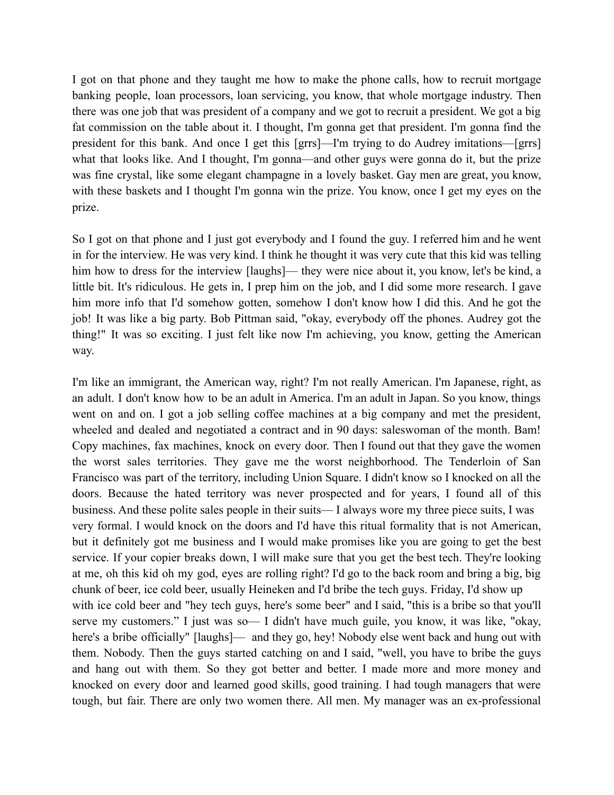I got on that phone and they taught me how to make the phone calls, how to recruit mortgage banking people, loan processors, loan servicing, you know, that whole mortgage industry. Then there was one job that was president of a company and we got to recruit a president. We got a big fat commission on the table about it. I thought, I'm gonna get that president. I'm gonna find the president for this bank. And once I get this [grrs]—I'm trying to do Audrey imitations—[grrs] what that looks like. And I thought, I'm gonna—and other guys were gonna do it, but the prize was fine crystal, like some elegant champagne in a lovely basket. Gay men are great, you know, with these baskets and I thought I'm gonna win the prize. You know, once I get my eyes on the prize.

So I got on that phone and I just got everybody and I found the guy. I referred him and he went in for the interview. He was very kind. I think he thought it was very cute that this kid was telling him how to dress for the interview [laughs]— they were nice about it, you know, let's be kind, a little bit. It's ridiculous. He gets in, I prep him on the job, and I did some more research. I gave him more info that I'd somehow gotten, somehow I don't know how I did this. And he got the job! It was like a big party. Bob Pittman said, "okay, everybody off the phones. Audrey got the thing!" It was so exciting. I just felt like now I'm achieving, you know, getting the American way.

I'm like an immigrant, the American way, right? I'm not really American. I'm Japanese, right, as an adult. I don't know how to be an adult in America. I'm an adult in Japan. So you know, things went on and on. I got a job selling coffee machines at a big company and met the president, wheeled and dealed and negotiated a contract and in 90 days: saleswoman of the month. Bam! Copy machines, fax machines, knock on every door. Then I found out that they gave the women the worst sales territories. They gave me the worst neighborhood. The Tenderloin of San Francisco was part of the territory, including Union Square. I didn't know so I knocked on all the doors. Because the hated territory was never prospected and for years, I found all of this business. And these polite sales people in their suits— I always wore my three piece suits, I was very formal. I would knock on the doors and I'd have this ritual formality that is not American, but it definitely got me business and I would make promises like you are going to get the best service. If your copier breaks down, I will make sure that you get the best tech. They're looking at me, oh this kid oh my god, eyes are rolling right? I'd go to the back room and bring a big, big chunk of beer, ice cold beer, usually Heineken and I'd bribe the tech guys. Friday, I'd show up with ice cold beer and "hey tech guys, here's some beer" and I said, "this is a bribe so that you'll serve my customers." I just was so— I didn't have much guile, you know, it was like, "okay, here's a bribe officially" [laughs]— and they go, hey! Nobody else went back and hung out with them. Nobody. Then the guys started catching on and I said, "well, you have to bribe the guys and hang out with them. So they got better and better. I made more and more money and knocked on every door and learned good skills, good training. I had tough managers that were tough, but fair. There are only two women there. All men. My manager was an ex-professional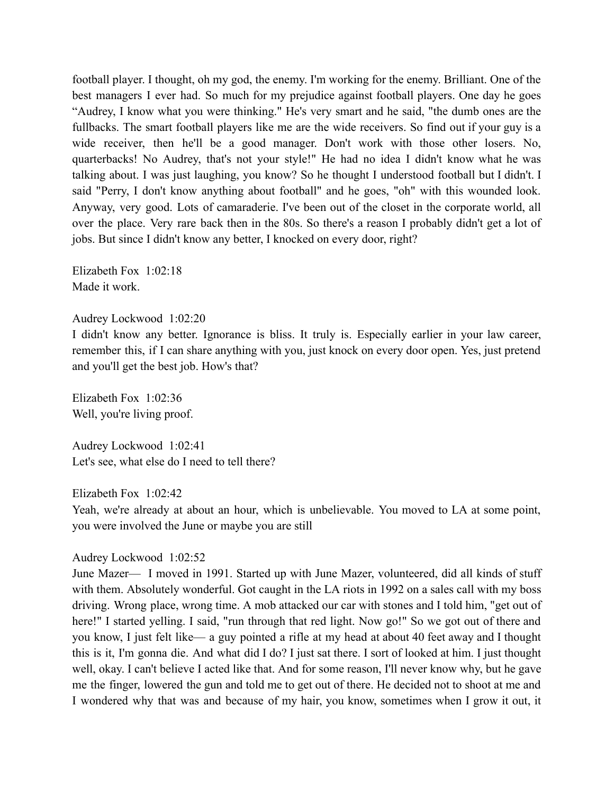football player. I thought, oh my god, the enemy. I'm working for the enemy. Brilliant. One of the best managers I ever had. So much for my prejudice against football players. One day he goes "Audrey, I know what you were thinking." He's very smart and he said, "the dumb ones are the fullbacks. The smart football players like me are the wide receivers. So find out if your guy is a wide receiver, then he'll be a good manager. Don't work with those other losers. No, quarterbacks! No Audrey, that's not your style!" He had no idea I didn't know what he was talking about. I was just laughing, you know? So he thought I understood football but I didn't. I said "Perry, I don't know anything about football" and he goes, "oh" with this wounded look. Anyway, very good. Lots of camaraderie. I've been out of the closet in the corporate world, all over the place. Very rare back then in the 80s. So there's a reason I probably didn't get a lot of jobs. But since I didn't know any better, I knocked on every door, right?

Elizabeth Fox 1:02:18 Made it work.

#### Audrey Lockwood 1:02:20

I didn't know any better. Ignorance is bliss. It truly is. Especially earlier in your law career, remember this, if I can share anything with you, just knock on every door open. Yes, just pretend and you'll get the best job. How's that?

Elizabeth Fox 1:02:36 Well, you're living proof.

Audrey Lockwood 1:02:41 Let's see, what else do I need to tell there?

Elizabeth Fox 1:02:42

Yeah, we're already at about an hour, which is unbelievable. You moved to LA at some point, you were involved the June or maybe you are still

#### Audrey Lockwood 1:02:52

June Mazer— I moved in 1991. Started up with June Mazer, volunteered, did all kinds of stuff with them. Absolutely wonderful. Got caught in the LA riots in 1992 on a sales call with my boss driving. Wrong place, wrong time. A mob attacked our car with stones and I told him, "get out of here!" I started yelling. I said, "run through that red light. Now go!" So we got out of there and you know, I just felt like— a guy pointed a rifle at my head at about 40 feet away and I thought this is it, I'm gonna die. And what did I do? I just sat there. I sort of looked at him. I just thought well, okay. I can't believe I acted like that. And for some reason, I'll never know why, but he gave me the finger, lowered the gun and told me to get out of there. He decided not to shoot at me and I wondered why that was and because of my hair, you know, sometimes when I grow it out, it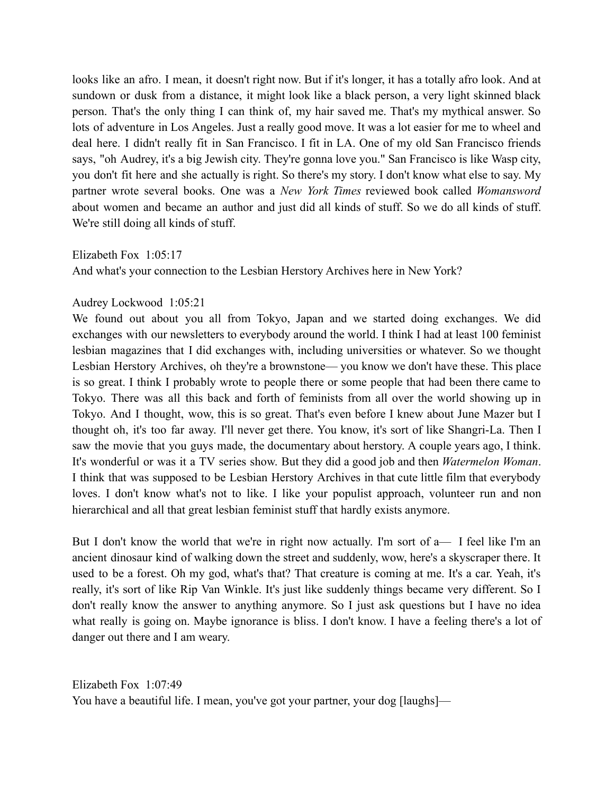looks like an afro. I mean, it doesn't right now. But if it's longer, it has a totally afro look. And at sundown or dusk from a distance, it might look like a black person, a very light skinned black person. That's the only thing I can think of, my hair saved me. That's my mythical answer. So lots of adventure in Los Angeles. Just a really good move. It was a lot easier for me to wheel and deal here. I didn't really fit in San Francisco. I fit in LA. One of my old San Francisco friends says, "oh Audrey, it's a big Jewish city. They're gonna love you." San Francisco is like Wasp city, you don't fit here and she actually is right. So there's my story. I don't know what else to say. My partner wrote several books. One was a *New York Times* reviewed book called *Womansword* about women and became an author and just did all kinds of stuff. So we do all kinds of stuff. We're still doing all kinds of stuff.

Elizabeth Fox 1:05:17

And what's your connection to the Lesbian Herstory Archives here in New York?

# Audrey Lockwood 1:05:21

We found out about you all from Tokyo, Japan and we started doing exchanges. We did exchanges with our newsletters to everybody around the world. I think I had at least 100 feminist lesbian magazines that I did exchanges with, including universities or whatever. So we thought Lesbian Herstory Archives, oh they're a brownstone— you know we don't have these. This place is so great. I think I probably wrote to people there or some people that had been there came to Tokyo. There was all this back and forth of feminists from all over the world showing up in Tokyo. And I thought, wow, this is so great. That's even before I knew about June Mazer but I thought oh, it's too far away. I'll never get there. You know, it's sort of like Shangri-La. Then I saw the movie that you guys made, the documentary about herstory. A couple years ago, I think. It's wonderful or was it a TV series show. But they did a good job and then *Watermelon Woman*. I think that was supposed to be Lesbian Herstory Archives in that cute little film that everybody loves. I don't know what's not to like. I like your populist approach, volunteer run and non hierarchical and all that great lesbian feminist stuff that hardly exists anymore.

But I don't know the world that we're in right now actually. I'm sort of a— I feel like I'm an ancient dinosaur kind of walking down the street and suddenly, wow, here's a skyscraper there. It used to be a forest. Oh my god, what's that? That creature is coming at me. It's a car. Yeah, it's really, it's sort of like Rip Van Winkle. It's just like suddenly things became very different. So I don't really know the answer to anything anymore. So I just ask questions but I have no idea what really is going on. Maybe ignorance is bliss. I don't know. I have a feeling there's a lot of danger out there and I am weary.

Elizabeth Fox 1:07:49 You have a beautiful life. I mean, you've got your partner, your dog [laughs]—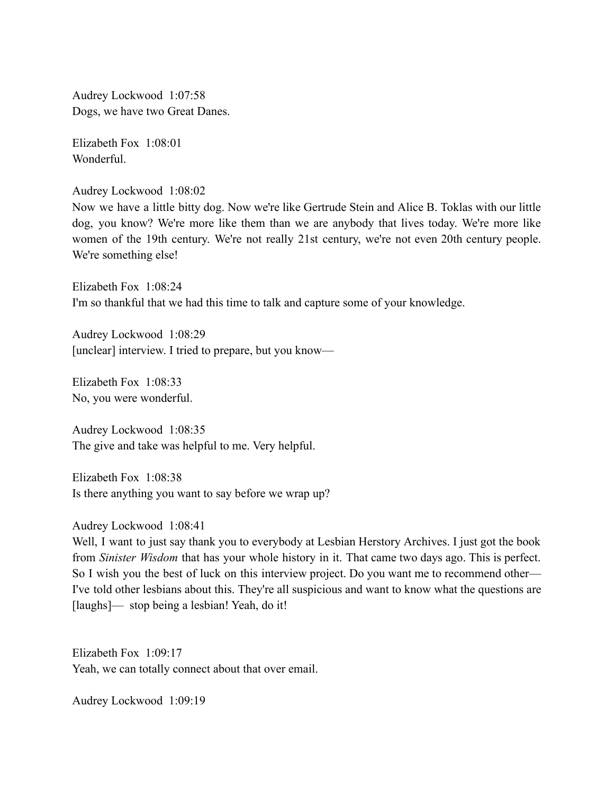Audrey Lockwood 1:07:58 Dogs, we have two Great Danes.

Elizabeth Fox 1:08:01 Wonderful.

Audrey Lockwood 1:08:02

Now we have a little bitty dog. Now we're like Gertrude Stein and Alice B. Toklas with our little dog, you know? We're more like them than we are anybody that lives today. We're more like women of the 19th century. We're not really 21st century, we're not even 20th century people. We're something else!

Elizabeth Fox 1:08:24 I'm so thankful that we had this time to talk and capture some of your knowledge.

Audrey Lockwood 1:08:29 [unclear] interview. I tried to prepare, but you know—

Elizabeth Fox 1:08:33 No, you were wonderful.

Audrey Lockwood 1:08:35 The give and take was helpful to me. Very helpful.

Elizabeth Fox 1:08:38 Is there anything you want to say before we wrap up?

Audrey Lockwood 1:08:41

Well, I want to just say thank you to everybody at Lesbian Herstory Archives. I just got the book from *Sinister Wisdom* that has your whole history in it. That came two days ago. This is perfect. So I wish you the best of luck on this interview project. Do you want me to recommend other— I've told other lesbians about this. They're all suspicious and want to know what the questions are [laughs]— stop being a lesbian! Yeah, do it!

Elizabeth Fox 1:09:17 Yeah, we can totally connect about that over email.

Audrey Lockwood 1:09:19